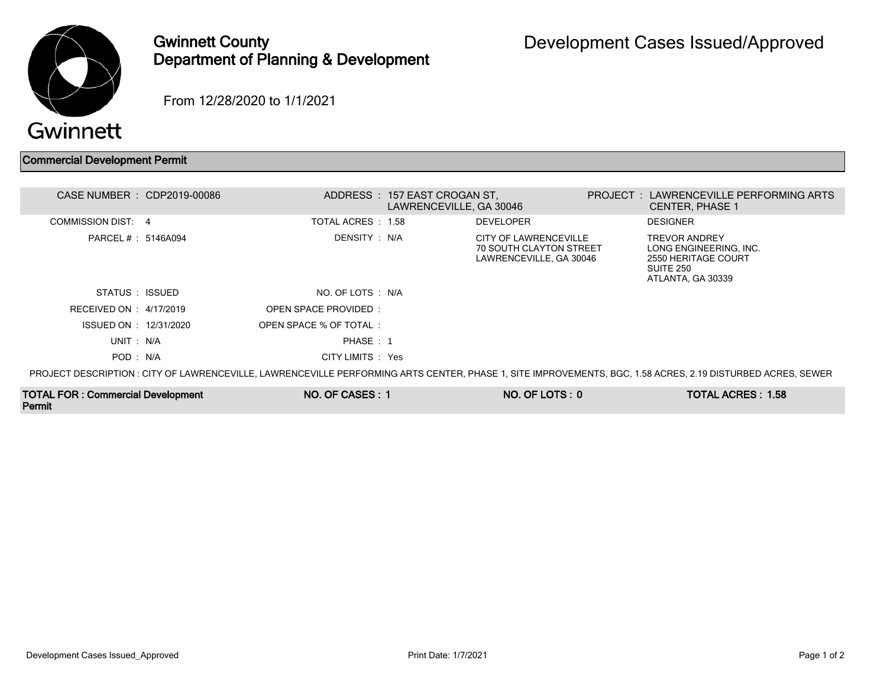

## Gwinnett County Department of Planning & Development

From 12/28/2020 to 1/1/2021

## Commercial Development Permit

| CASE NUMBER : CDP2019-00086                                                                                                                                 |  |                       | ADDRESS: 157 EAST CROGAN ST.<br>LAWRENCEVILLE, GA 30046 |                                                                                    |  | PROJECT: LAWRENCEVILLE PERFORMING ARTS<br><b>CENTER, PHASE 1</b>                                        |  |  |  |  |  |
|-------------------------------------------------------------------------------------------------------------------------------------------------------------|--|-----------------------|---------------------------------------------------------|------------------------------------------------------------------------------------|--|---------------------------------------------------------------------------------------------------------|--|--|--|--|--|
| <b>COMMISSION DIST: 4</b>                                                                                                                                   |  | TOTAL ACRES : 1.58    |                                                         | <b>DEVELOPER</b>                                                                   |  | <b>DESIGNER</b>                                                                                         |  |  |  |  |  |
| PARCEL # : 5146A094                                                                                                                                         |  | DENSITY : N/A         |                                                         | CITY OF LAWRENCEVILLE<br><b>70 SOUTH CLAYTON STREET</b><br>LAWRENCEVILLE, GA 30046 |  | <b>TREVOR ANDREY</b><br>LONG ENGINEERING. INC.<br>2550 HERITAGE COURT<br>SUITE 250<br>ATLANTA, GA 30339 |  |  |  |  |  |
| STATUS ISSUED                                                                                                                                               |  | NO. OF LOTS : N/A     |                                                         |                                                                                    |  |                                                                                                         |  |  |  |  |  |
| RECEIVED ON : 4/17/2019                                                                                                                                     |  | OPEN SPACE PROVIDED:  |                                                         |                                                                                    |  |                                                                                                         |  |  |  |  |  |
| ISSUED ON : 12/31/2020                                                                                                                                      |  | OPEN SPACE % OF TOTAL |                                                         |                                                                                    |  |                                                                                                         |  |  |  |  |  |
| UNIT: N/A                                                                                                                                                   |  | PHASE: 1              |                                                         |                                                                                    |  |                                                                                                         |  |  |  |  |  |
| POD: N/A                                                                                                                                                    |  | CITY LIMITS : Yes     |                                                         |                                                                                    |  |                                                                                                         |  |  |  |  |  |
| PROJECT DESCRIPTION : CITY OF LAWRENCEVILLE, LAWRENCEVILLE PERFORMING ARTS CENTER, PHASE 1, SITE IMPROVEMENTS, BGC, 1.58 ACRES, 2.19 DISTURBED ACRES, SEWER |  |                       |                                                         |                                                                                    |  |                                                                                                         |  |  |  |  |  |

TOTAL FOR : Commercial Development Permit NO. OF CASES : 1 NO. OF LOTS : 0 TOTAL ACRES : 1.58